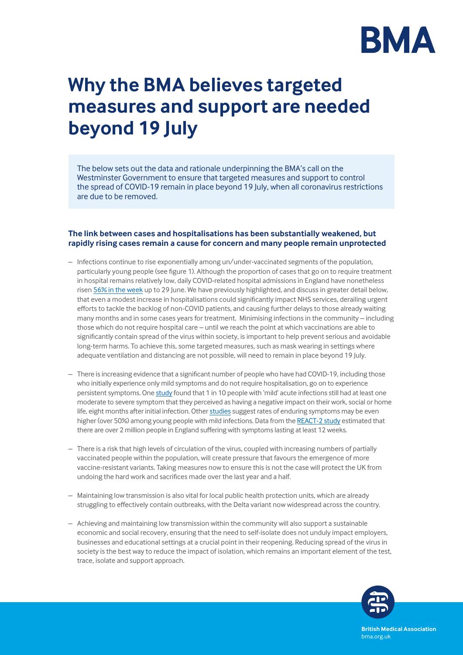

# **Why the BMA believes targeted measures and support are needed beyond 19 July**

The below sets out the data and rationale underpinning the BMA's call on the Westminster Government to ensure that targeted measures and support to control the spread of COVID-19 remain in place beyond 19 July, when all coronavirus restrictions are due to be removed.

## **The link between cases and hospitalisations has been substantially weakened, but rapidly rising cases remain a cause for concern and many people remain unprotected**

- Infections continue to rise exponentially among un/under-vaccinated segments of the population, particularly young people (see figure 1). Although the proportion of cases that go on to require treatment in hospital remains relatively low, daily COVID-related hospital admissions in England have nonetheless risen [56% in the week](https://coronavirus.data.gov.uk/details/healthcare) up to 29 June. We have previously highlighted, and discuss in greater detail below, that even a modest increase in hospitalisations could significantly impact NHS services, derailing urgent efforts to tackle the backlog of non-COVID patients, and causing further delays to those already waiting many months and in some cases years for treatment. Minimising infections in the community – including those which do not require hospital care – until we reach the point at which vaccinations are able to significantly contain spread of the virus within society, is important to help prevent serious and avoidable long-term harms. To achieve this, some targeted measures, such as mask wearing in settings where adequate ventilation and distancing are not possible, will need to remain in place beyond 19 July.
- There is increasing evidence that a significant number of people who have had COVID-19, including those who initially experience only mild symptoms and do not require hospitalisation, go on to experience persistent symptoms. One [study](https://jamanetwork.com/journals/jama/fullarticle/2778528) found that 1 in 10 people with 'mild' acute infections still had at least one moderate to severe symptom that they perceived as having a negative impact on their work, social or home life, eight months after initial infection. Other [studies](https://www.nature.com/articles/s41591-021-01433-3) suggest rates of enduring symptoms may be even higher (over 50%) among young people with mild infections. Data from the [REACT-2 study](https://www.gov.uk/government/news/new-research-shows-2-million-people-may-have-had-long-covid) estimated that there are over 2 million people in England suffering with symptoms lasting at least 12 weeks.
- There is a risk that high levels of circulation of the virus, coupled with increasing numbers of partially vaccinated people within the population, will create pressure that favours the emergence of more vaccine-resistant variants. Taking measures now to ensure this is not the case will protect the UK from undoing the hard work and sacrifices made over the last year and a half.
- Maintaining low transmission is also vital for local public health protection units, which are already struggling to effectively contain outbreaks, with the Delta variant now widespread across the country.
- Achieving and maintaining low transmission within the community will also support a sustainable economic and social recovery, ensuring that the need to self-isolate does not unduly impact employers, businesses and educational settings at a crucial point in their reopening. Reducing spread of the virus in society is the best way to reduce the impact of isolation, which remains an important element of the test, trace, isolate and support approach.



**British Medical Association** bma.org.uk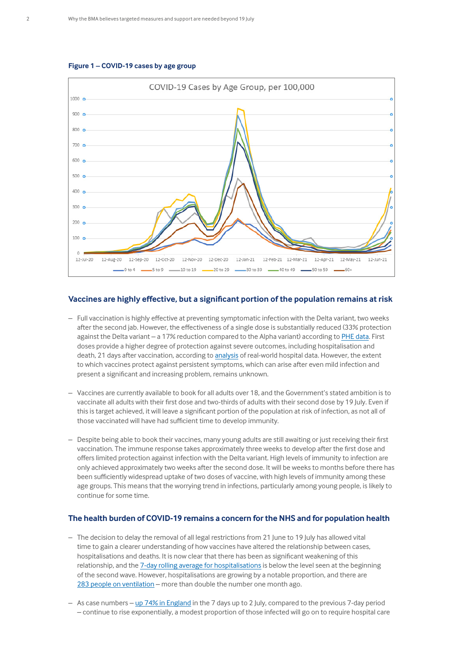



### **Vaccines are highly effective, but a significant portion of the population remains at risk**

- Full vaccination is highly effective at preventing symptomatic infection with the Delta variant, two weeks after the second jab. However, the effectiveness of a single dose is substantially reduced (33% protection against the Delta variant – a 17% reduction compared to the Alpha variant) according to PHE data. First doses provide a higher degree of protection against severe outcomes, including hospitalisation and death, 21 days after vaccination, according to [analysis](https://khub.net/web/phe-national/public-library/-/document_library/v2WsRK3ZlEig/view/479607266) of real-world hospital data. However, the extent to which vaccines protect against persistent symptoms, which can arise after even mild infection and present a significant and increasing problem, remains unknown.
- Vaccines are currently available to book for all adults over 18, and the Government's stated ambition is to vaccinate all adults with their first dose and two-thirds of adults with their second dose by 19 July. Even if this is target achieved, it will leave a significant portion of the population at risk of infection, as not all of those vaccinated will have had sufficient time to develop immunity.
- Despite being able to book their vaccines, many young adults are still awaiting or just receiving their first vaccination. The immune response takes approximately three weeks to develop after the first dose and offers limited protection against infection with the Delta variant. High levels of immunity to infection are only achieved approximately two weeks after the second dose. It will be weeks to months before there has been sufficiently widespread uptake of two doses of vaccine, with high levels of immunity among these age groups. This means that the worrying trend in infections, particularly among young people, is likely to continue for some time.

### **The health burden of COVID-19 remains a concern for the NHS and for population health**

- The decision to delay the removal of all legal restrictions from 21 June to 19 July has allowed vital time to gain a clearer understanding of how vaccines have altered the relationship between cases, hospitalisations and deaths. It is now clear that there has been as significant weakening of this relationship, and the [7-day rolling average for hospitalisations](https://coronavirus.data.gov.uk/details/healthcare) is below the level seen at the beginning of the second wave. However, hospitalisations are growing by a notable proportion, and there are [283 people on ventilation](https://coronavirus.data.gov.uk/details/healthcare) – more than double the number one month ago.
- As case numbers [up 74% in England](https://coronavirus.data.gov.uk/details/cases) in the 7 days up to 2 July, compared to the previous 7-day period – continue to rise exponentially, a modest proportion of those infected will go on to require hospital care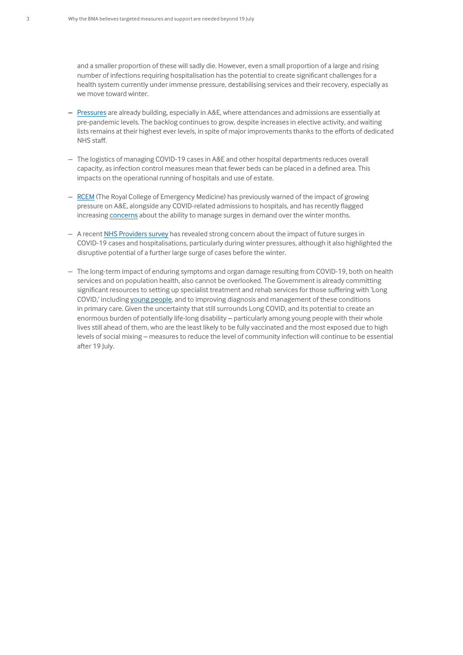and a smaller proportion of these will sadly die. However, even a small proportion of a large and rising number of infections requiring hospitalisation has the potential to create significant challenges for a health system currently under immense pressure, destabilising services and their recovery, especially as we move toward winter.

- [Pressures](https://www.bma.org.uk/advice-and-support/nhs-delivery-and-workforce/pressures/pressure-points-in-the-nhs) are already building, especially in A&E, where attendances and admissions are essentially at pre-pandemic levels. The backlog continues to grow, despite increases in elective activity, and waiting lists remains at their highest ever levels, in spite of major improvements thanks to the efforts of dedicated NHS staff.
- The logistics of managing COVID-19 cases in A&E and other hospital departments reduces overall capacity, as infection control measures mean that fewer beds can be placed in a defined area. This impacts on the operational running of hospitals and use of estate.
- [RCEM](https://www.independent.co.uk/news/health/nhs-emergency-hospital-ambulance-delays-b1830061.html) (The Royal College of Emergency Medicine) has previously warned of the impact of growing pressure on A&E, alongside any COVID-related admissions to hospitals, and has recently flagged increasing [concerns](https://www.rcem.ac.uk/docs/Policy/210628_RCEM_briefing_on_hospital_beds.pdf) about the ability to manage surges in demand over the winter months.
- A recent [NHS Providers survey](https://nhsproviders.org/news-blogs/news/trusts-grappling-with-challenges-on-multiple-fronts-as-survey-reveals-fears-over-waiting-lists-covid-19-and-winter-pressures) has revealed strong concern about the impact of future surges in COVID-19 cases and hospitalisations, particularly during winter pressures, although it also highlighted the disruptive potential of a further large surge of cases before the winter.
- The long-term impact of enduring symptoms and organ damage resulting from COVID-19, both on health services and on population health, also cannot be overlooked. The Government is already committing significant resources to setting up specialist treatment and rehab services for those suffering with 'Long COVID,' including [young people,](https://www.england.nhs.uk/2021/06/nhs-sets-up-specialist-young-peoples-services-in-100-million-long-covid-care-expansion/) and to improving diagnosis and management of these conditions in primary care. Given the uncertainty that still surrounds Long COVID, and its potential to create an enormous burden of potentially life-long disability – particularly among young people with their whole lives still ahead of them, who are the least likely to be fully vaccinated and the most exposed due to high levels of social mixing – measures to reduce the level of community infection will continue to be essential after 19 July.